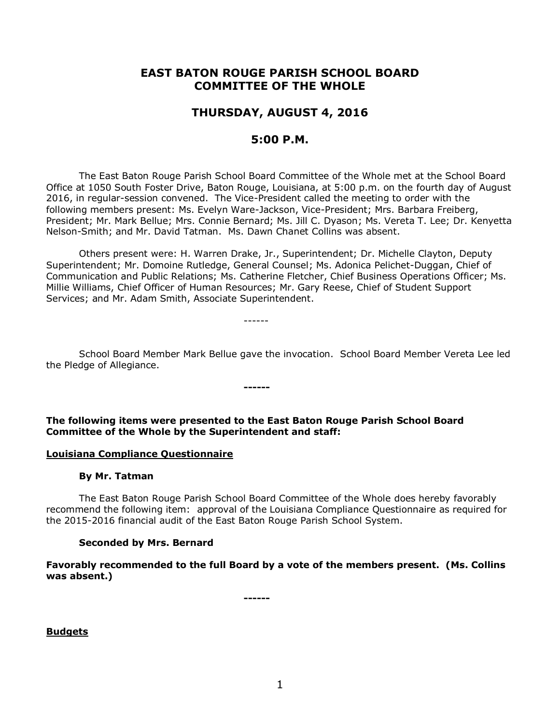# **EAST BATON ROUGE PARISH SCHOOL BOARD COMMITTEE OF THE WHOLE**

# **THURSDAY, AUGUST 4, 2016**

# **5:00 P.M.**

The East Baton Rouge Parish School Board Committee of the Whole met at the School Board Office at 1050 South Foster Drive, Baton Rouge, Louisiana, at 5:00 p.m. on the fourth day of August 2016, in regular-session convened. The Vice-President called the meeting to order with the following members present: Ms. Evelyn Ware-Jackson, Vice-President; Mrs. Barbara Freiberg, President; Mr. Mark Bellue; Mrs. Connie Bernard; Ms. Jill C. Dyason; Ms. Vereta T. Lee; Dr. Kenyetta Nelson-Smith; and Mr. David Tatman. Ms. Dawn Chanet Collins was absent.

Others present were: H. Warren Drake, Jr., Superintendent; Dr. Michelle Clayton, Deputy Superintendent; Mr. Domoine Rutledge, General Counsel; Ms. Adonica Pelichet-Duggan, Chief of Communication and Public Relations; Ms. Catherine Fletcher, Chief Business Operations Officer; Ms. Millie Williams, Chief Officer of Human Resources; Mr. Gary Reese, Chief of Student Support Services; and Mr. Adam Smith, Associate Superintendent.

------

School Board Member Mark Bellue gave the invocation. School Board Member Vereta Lee led the Pledge of Allegiance.

**The following items were presented to the East Baton Rouge Parish School Board Committee of the Whole by the Superintendent and staff:**

**------**

#### **Louisiana Compliance Questionnaire**

#### **By Mr. Tatman**

The East Baton Rouge Parish School Board Committee of the Whole does hereby favorably recommend the following item: approval of the Louisiana Compliance Questionnaire as required for the 2015-2016 financial audit of the East Baton Rouge Parish School System.

### **Seconded by Mrs. Bernard**

**Favorably recommended to the full Board by a vote of the members present. (Ms. Collins was absent.)**

**------**

**Budgets**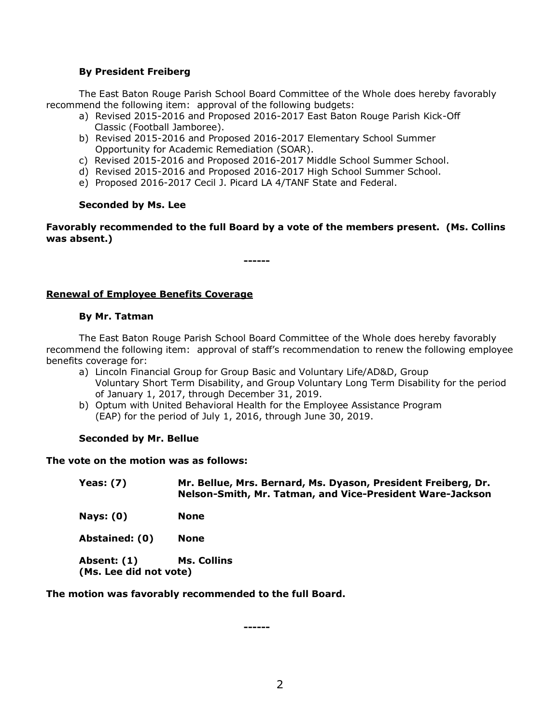### **By President Freiberg**

The East Baton Rouge Parish School Board Committee of the Whole does hereby favorably recommend the following item: approval of the following budgets:

- a) Revised 2015-2016 and Proposed 2016-2017 East Baton Rouge Parish Kick-Off Classic (Football Jamboree).
- b) Revised 2015-2016 and Proposed 2016-2017 Elementary School Summer Opportunity for Academic Remediation (SOAR).
- c) Revised 2015-2016 and Proposed 2016-2017 Middle School Summer School.
- d) Revised 2015-2016 and Proposed 2016-2017 High School Summer School.

**------**

e) Proposed 2016-2017 Cecil J. Picard LA 4/TANF State and Federal.

### **Seconded by Ms. Lee**

**Favorably recommended to the full Board by a vote of the members present. (Ms. Collins was absent.)**

**Renewal of Employee Benefits Coverage**

# **By Mr. Tatman**

The East Baton Rouge Parish School Board Committee of the Whole does hereby favorably recommend the following item: approval of staff's recommendation to renew the following employee benefits coverage for:

- a) Lincoln Financial Group for Group Basic and Voluntary Life/AD&D, Group Voluntary Short Term Disability, and Group Voluntary Long Term Disability for the period of January 1, 2017, through December 31, 2019.
- b) Optum with United Behavioral Health for the Employee Assistance Program (EAP) for the period of July 1, 2016, through June 30, 2019.

### **Seconded by Mr. Bellue**

### **The vote on the motion was as follows:**

| Yeas: $(7)$                           | Mr. Bellue, Mrs. Bernard, Ms. Dyason, President Freiberg, Dr.<br>Nelson-Smith, Mr. Tatman, and Vice-President Ware-Jackson |
|---------------------------------------|----------------------------------------------------------------------------------------------------------------------------|
| Nays: $(0)$                           | <b>None</b>                                                                                                                |
| Abstained: (0)                        | <b>None</b>                                                                                                                |
| Absent: (1)<br>(Ms. Lee did not vote) | Ms. Collins                                                                                                                |

**The motion was favorably recommended to the full Board.**

**------**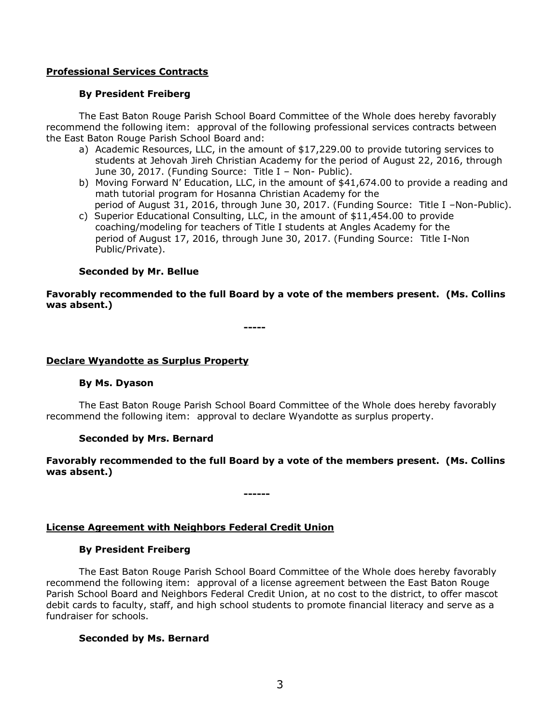# **Professional Services Contracts**

# **By President Freiberg**

The East Baton Rouge Parish School Board Committee of the Whole does hereby favorably recommend the following item: approval of the following professional services contracts between the East Baton Rouge Parish School Board and:

- a) Academic Resources, LLC, in the amount of \$17,229.00 to provide tutoring services to students at Jehovah Jireh Christian Academy for the period of August 22, 2016, through June 30, 2017. (Funding Source: Title I – Non- Public).
- b) Moving Forward N' Education, LLC, in the amount of \$41,674.00 to provide a reading and math tutorial program for Hosanna Christian Academy for the period of August 31, 2016, through June 30, 2017. (Funding Source: Title I –Non-Public).
- c) Superior Educational Consulting, LLC, in the amount of \$11,454.00 to provide coaching/modeling for teachers of Title I students at Angles Academy for the period of August 17, 2016, through June 30, 2017. (Funding Source: Title I-Non Public/Private).

# **Seconded by Mr. Bellue**

# **Favorably recommended to the full Board by a vote of the members present. (Ms. Collins was absent.)**

**-----**

# **Declare Wyandotte as Surplus Property**

### **By Ms. Dyason**

The East Baton Rouge Parish School Board Committee of the Whole does hereby favorably recommend the following item: approval to declare Wyandotte as surplus property.

# **Seconded by Mrs. Bernard**

# **Favorably recommended to the full Board by a vote of the members present. (Ms. Collins was absent.)**

**------**

# **License Agreement with Neighbors Federal Credit Union**

### **By President Freiberg**

The East Baton Rouge Parish School Board Committee of the Whole does hereby favorably recommend the following item: approval of a license agreement between the East Baton Rouge Parish School Board and Neighbors Federal Credit Union, at no cost to the district, to offer mascot debit cards to faculty, staff, and high school students to promote financial literacy and serve as a fundraiser for schools.

### **Seconded by Ms. Bernard**